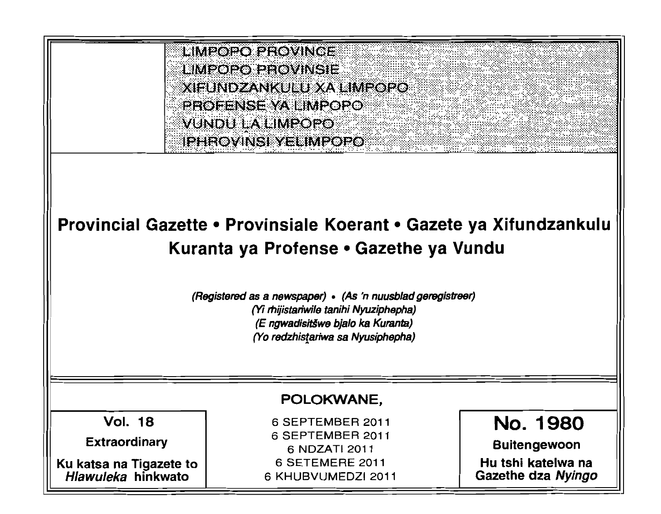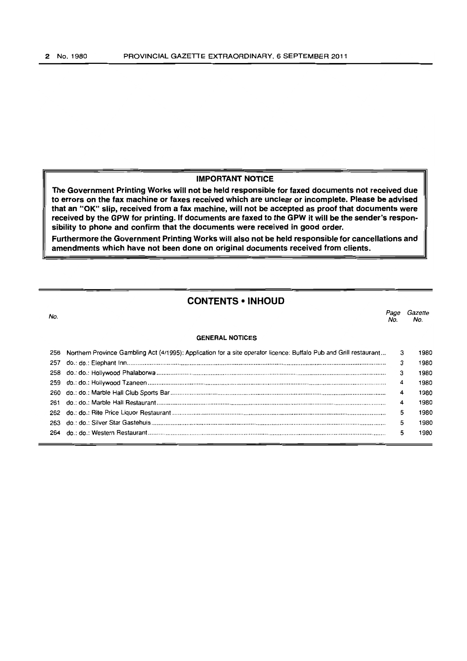## **IMPORTANT NOTICE**

**The Government Printing Works will not be held responsible for faxed documents not received due to errors on the fax machine or faxes received which are unclear or incomplete. Please be advised that an "OK" slip, received from a fax machine, will not be accepted as proof that documents were received by the GPW for** printing. If **documents are faxed to the GPW it will be the sender's responsibility to phone and confirm that the documents were received in good order.** 

**Furthermore the Government Printing Works will also not be held responsible for cancellations and amendments which have not been done on original documents received from clients.** 

# **CONTENTS • INHOUD**

no.<br>No. Page Gazette No. No.

## **GENERAl. NOTICES**

| 256 Northern Province Gambling Act (4/1995): Application for a site operator licence: Buffalo Pub and Grill restaurant 3 |                | 1980 |
|--------------------------------------------------------------------------------------------------------------------------|----------------|------|
|                                                                                                                          | 3              | 1980 |
|                                                                                                                          | 3              | 1980 |
|                                                                                                                          | 4              | 1980 |
|                                                                                                                          | $\overline{4}$ | 1980 |
|                                                                                                                          | 4              | 1980 |
|                                                                                                                          | 5              | 1980 |
|                                                                                                                          | 5              | 1980 |
|                                                                                                                          | 5              | 1980 |
|                                                                                                                          |                |      |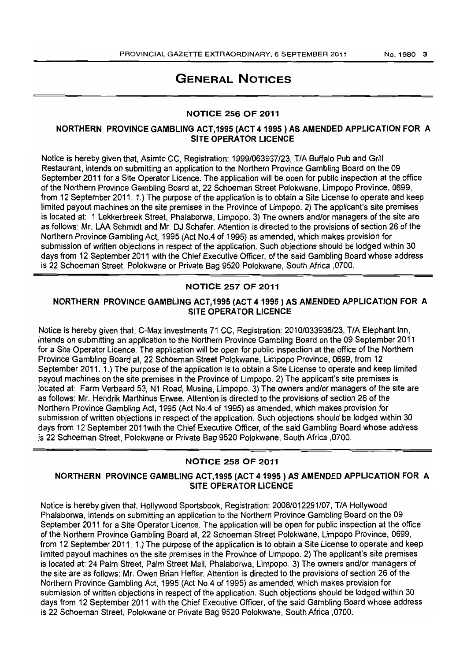# GENERAL NOTICES

### NOTICE 256 OF 2011

# NORTHERN PROVINCE GAMBLING ACT,1995 (ACT 41995) AS AMENDED APPLICATION FOR A SITE OPERATOR LICENCE

Notice is hereby given that, Asimto CC, Registration: 1999/063937/23, T/A Buffalo Pub and Grill Restaurant, intends on submitting an application to the Northern Province Gambling Board on the 09 September 2011 for a Site Operator Licence. The application will be open for public inspection at the office of the Northern Province Gambling Board at, 22 Schoeman Street Polokwane, Limpopo Province, 0699, from 12 September 2011. 1.) The purpose of the application is to obtain a Site License to operate and keep limited payout machines on the site premises in the Province of Limpopo. 2) The applicant's site premises is located at: 1 Lekkerbreek Street, Phalaborwa, Limpopo. 3) The owners and/or managers of the site are as follows: Mr. LAA Schmidt and Mr. OJ Schafer. Attention is directed to the provisions of section 26 of the Northern Province Gambling Act, 1995 (Act No.4 of 1995) as amended, which makes provision for submission of written objections in respect of the application. Such objections should be lodged within 30 days from 12 September 2011 with the Chief Executive Officer, of the said Gambling Board whose address is 22 Schoeman Street, Polokwane or Private Bag 9520 Polokwane, South Africa ,0700.

### NOTICE 257 OF 2011

# NORTHERN PROVINCE GAMBLING ACT,1995 (ACT 41995) AS AMENDED APPLICATION FOR A SITE OPERATOR LICENCE

Notice is hereby given that, C-Max Investments 71 CC, Registration: 2010/033936/23, TIA Elephant Inn, intends on submitting an application to the Northern Province Gambling Board on the 09 September 2011 for a Site Operator Licence. The application will be open for public inspection at the office of the Northern Province Gambling Board at, 22 Schoeman Street Polokwane, Limpopo Province, 0699, from 12 September 2011. 1.) The purpose of the application is to obtain a Site License to operate and keep limited payout machines on the site premises in the Province of Limpopo. 2) The applicant's site premises is located at: Farm Verbaard 53, N1 Road, Musina, Limpopo. 3) The owners and/or managers of the site are as follows: Mr. Hendrik Marthinus Erwee. Attention is directed to the provisions of section 26 of the Northern Province Gambling Act, 1995 (Act No.4 of 1995) as amended, which makes provision for submission of written objections in respect of the application. Such objections should be lodged within 30 days from 12 September 2011with the Chief Executive Officer, of the said Gambling Board whose address is 22 Schoeman Street, Polokwane or Private Bag 9520 Polokwane, South Africa ,0700.

### NOTICE 258 OF 2011

### NORTHERN PROVINCE GAMBLING ACT,1995 (ACT 41995) AS AMENDED APPLICATION FOR A SITE OPERATOR LICENCE

Notice is hereby given that, Hollywood Sportsbook, Registration: 2008/012291/07, TIA Hollywood Phalaborwa, intends on submitting an application to the Northern Province Gambling Board on the 09 September 2011 for a Site Operator Licence. The application will be open for public inspection at the office of the Northern Province Gambling Board at, 22 Schoeman Street Polokwane, Limpopo Province, 0699, from 12 September 2011. 1.) The purpose of the application is to obtain a Site License to operate and keep limited payout machines on the site premises in the Province of Limpopo. 2) The applicant's site premises is located at: 24 Palm Street, Palm Street Mall, Phalaborwa, Limpopo. 3) The owners and/or managers of the site are as follows: Mr. Owen Brian Heffer. Attention is directed to the provisions of section 26 of the Northern Province Gambling Act, 1995 (Act No.4 of 1995) as amended, which makes provision for submission of written objections in respect of the application. Such objections should be lodged within 30 days from 12 September 2011 with the Chief Executive Officer, of the said Gambling Board whose address is 22 Schoeman Street, Polokwane or Private Bag 9520 Polokwane, South Africa ,0700.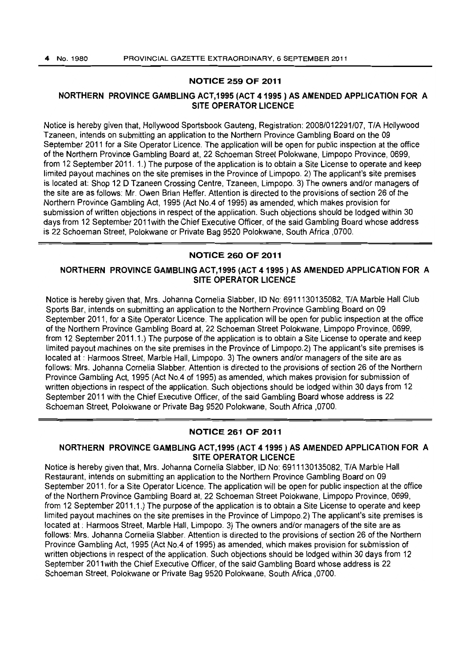### NOTICE 259 OF 2011

## NORTHERN PROVINCE GAMBLING ACT,1995 (ACT 41995) AS AMENDED APPLICATION FOR A SITE OPERATOR LICENCE

Notice is hereby given that, Hollywood Sportsbook Gauteng. Registration: 2008/012291/07, TIA Hollywood Tzaneen, intends on submitting an application to the Northern Province Gambling Board on the 09 September 2011 for a Site Operator Licence. The application will be open for public inspection at the office of the Northern Province Gambling Board at, 22 Schoeman Street Polokwane. Limpopo Province, 0699, from 12 September 2011. 1.) The purpose of the application is to obtain a Site license to operate and keep limited payout machines on the site premises in the Province of limpopo. 2) The applicant's site premises is located at: Shop 12 0 Tzaneen Crossing Centre, Tzaneen. Limpopo. 3) The owners andlor managers of the site are as follows: Mr. Owen Brian Heffer. Attention is directed to the provisions of section 26 of the Northern Province Gambling Act, 1995 (Act No.4 of 1995) as amended, which makes provision for submission of written objections in respect of the application. Such objections should be lodged within 30 days from 12 September 2011 with the Chief Executive Officer, of the said Gambling Board whose address is 22 Schoeman Street, Polokwane or Private Bag 9520 Polokwane, South Africa ,0700.

# NOTICE 260 OF 2011

# NORTHERN PROVINCE GAMBLING ACT,1995 (ACT 41995) AS AMENDED APPLICATION FOR A SITE OPERATOR LICENCE

Notice is hereby given that, Mrs. Johanna Cornelia Slabber, ID No: 6911130135082, T/A Marble Hall Club Sports Bar, intends on submitting an application to the Northern Province Gambling Board on 09 September 2011, for a Site Operator licence. The application will be open for public inspection at the office of the Northern Province Gambling Board at, 22 Schoeman Street Polokwane, Limpopo Province, 0699, from 12 September 2011.1.) The purpose of the application is to obtain a Site License to operate and keep limited payout machines on the site premises in the Province of Limpopo.2) The applicant's site premises is located at : Harmoos Street, Marble Hall, Limpopo. 3) The owners and/or managers of the site are as follows: Mrs. Johanna Cornelia Slabber. Attention is directed to the provisions of section 26 of the Northern Province Gambling Act, 1995 (Act No.4 of 1995) as amended, which makes provision for submission of written objections in respect of the application. Such objections should be lodged within 30 days from 12 September 2011 with the Chief Executive Officer, of the said Gambling Board whose address is 22 Schoeman Street, Polokwane or Private Bag 9520 Polokwane, South Africa ,0700.

### NOTICE 261 OF 2011

# NORTHERN PROVINCE GAMBLING ACT,1995 (ACT 41995) AS AMENDED APPLICATION FOR A SITE OPERATOR LICENCE

Notice is hereby given that, Mrs. Johanna Cornelia Slabber, 10 No: 6911130135082, TIA Marble Hall Restaurant, intends on submitting an application to the Northern Province Gambling Board on 09 September 2011, for a Site Operator Licence. The application will be open for public inspection at the office of the Northern Province Gambling Board at, 22 Schoeman Street Polokwane, Limpopo Province, 0699, from 12 September 2011.1.) The purpose of the application is to obtain a Site License to operate and keep limited payout machines on the site premises in the Province of Limpopo.2) The applicant's site premises is located at : Harmoos Street, Marble Hall, Limpopo. 3) The owners and/or managers of the site are as follows: Mrs. Johanna Cornelia Slabber. Attention is directed to the provisions of section 26 of the Northern Province Gambling Act, 1995 (Act No.4 of 1995) as amended, which makes provision for submission of written objections in respect of the application. Such objections should be lodged within 30 days from 12 September 2011with the Chief Executive Officer, of the said Gambling Board whose address is 22 Schoeman Street, Polokwane or Private Bag 9520 Polokwane, South Africa ,0700.